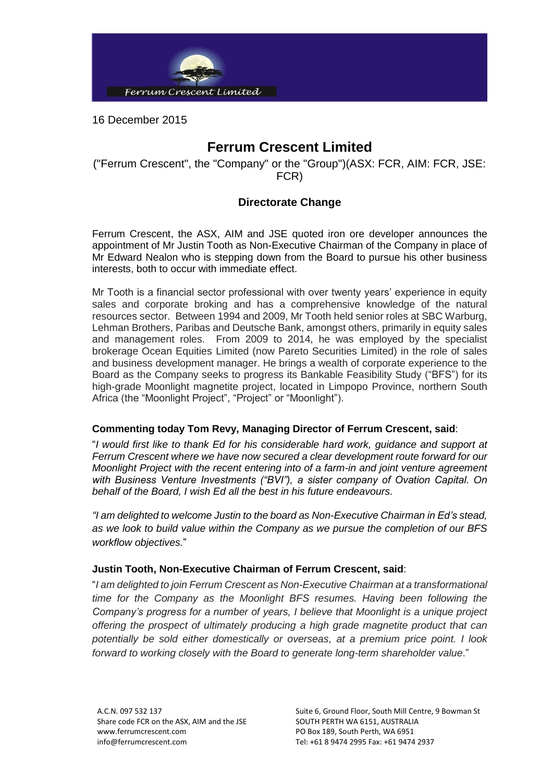

16 December 2015

# **Ferrum Crescent Limited**

("Ferrum Crescent", the "Company" or the "Group")(ASX: FCR, AIM: FCR, JSE: FCR)

## **Directorate Change**

Ferrum Crescent, the ASX, AIM and JSE quoted iron ore developer announces the appointment of Mr Justin Tooth as Non-Executive Chairman of the Company in place of Mr Edward Nealon who is stepping down from the Board to pursue his other business interests, both to occur with immediate effect.

Mr Tooth is a financial sector professional with over twenty years' experience in equity sales and corporate broking and has a comprehensive knowledge of the natural resources sector. Between 1994 and 2009, Mr Tooth held senior roles at SBC Warburg, Lehman Brothers, Paribas and Deutsche Bank, amongst others, primarily in equity sales and management roles. From 2009 to 2014, he was employed by the specialist brokerage Ocean Equities Limited (now Pareto Securities Limited) in the role of sales and business development manager. He brings a wealth of corporate experience to the Board as the Company seeks to progress its Bankable Feasibility Study ("BFS") for its high-grade Moonlight magnetite project, located in Limpopo Province, northern South Africa (the "Moonlight Project", "Project" or "Moonlight").

### **Commenting today Tom Revy, Managing Director of Ferrum Crescent, said**:

"*I would first like to thank Ed for his considerable hard work, guidance and support at Ferrum Crescent where we have now secured a clear development route forward for our Moonlight Project with the recent entering into of a farm-in and joint venture agreement with Business Venture Investments ("BVI"), a sister company of Ovation Capital. On behalf of the Board, I wish Ed all the best in his future endeavours.* 

*"I am delighted to welcome Justin to the board as Non-Executive Chairman in Ed's stead, as we look to build value within the Company as we pursue the completion of our BFS workflow objectives.*"

## **Justin Tooth, Non-Executive Chairman of Ferrum Crescent, said**:

"*I am delighted to join Ferrum Crescent as Non-Executive Chairman at a transformational time for the Company as the Moonlight BFS resumes. Having been following the Company's progress for a number of years, I believe that Moonlight is a unique project offering the prospect of ultimately producing a high grade magnetite product that can potentially be sold either domestically or overseas, at a premium price point. I look forward to working closely with the Board to generate long-term shareholder value*."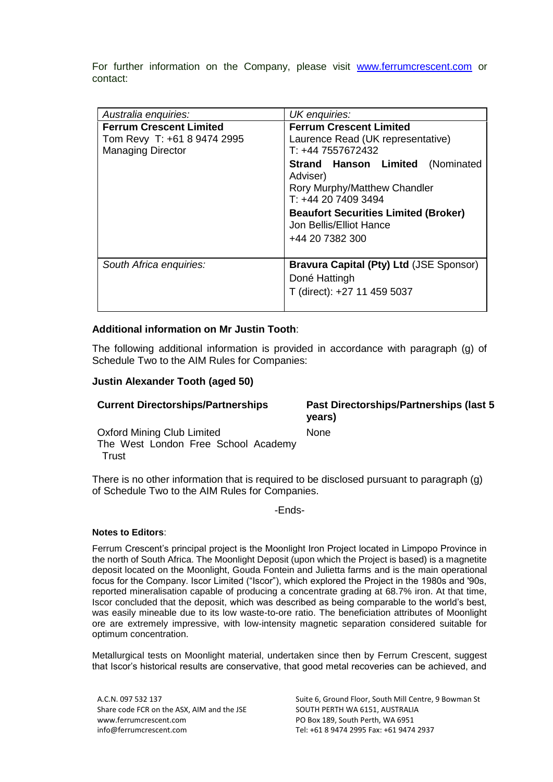For further information on the Company, please visit [www.ferrumcrescent.com](http://www.ferrumcrescent.com/) or contact:

| Australia enquiries:                                                                      | UK enquiries:                                                                                                                                                                                                                                                                                      |
|-------------------------------------------------------------------------------------------|----------------------------------------------------------------------------------------------------------------------------------------------------------------------------------------------------------------------------------------------------------------------------------------------------|
| <b>Ferrum Crescent Limited</b><br>Tom Revy T: +61 8 9474 2995<br><b>Managing Director</b> | <b>Ferrum Crescent Limited</b><br>Laurence Read (UK representative)<br>T: +44 7557672432<br><b>Strand Hanson Limited (Nominated</b><br>Adviser)<br>Rory Murphy/Matthew Chandler<br>$T: +442074093494$<br><b>Beaufort Securities Limited (Broker)</b><br>Jon Bellis/Elliot Hance<br>+44 20 7382 300 |
| South Africa enquiries:                                                                   | Bravura Capital (Pty) Ltd (JSE Sponsor)<br>Doné Hattingh<br>T (direct): +27 11 459 5037                                                                                                                                                                                                            |

### **Additional information on Mr Justin Tooth**:

The following additional information is provided in accordance with paragraph (g) of Schedule Two to the AIM Rules for Companies:

#### **Justin Alexander Tooth (aged 50)**

| <b>Current Directorships/Partnerships</b>                                         | <b>Past Directorships/Partnerships (last 5)</b><br>years) |
|-----------------------------------------------------------------------------------|-----------------------------------------------------------|
| <b>Oxford Mining Club Limited</b><br>The West London Free School Academy<br>Trust | <b>None</b>                                               |

There is no other information that is required to be disclosed pursuant to paragraph (g) of Schedule Two to the AIM Rules for Companies.

-Ends-

#### **Notes to Editors**:

Ferrum Crescent's principal project is the Moonlight Iron Project located in Limpopo Province in the north of South Africa. The Moonlight Deposit (upon which the Project is based) is a magnetite deposit located on the Moonlight, Gouda Fontein and Julietta farms and is the main operational focus for the Company. Iscor Limited ("Iscor"), which explored the Project in the 1980s and '90s, reported mineralisation capable of producing a concentrate grading at 68.7% iron. At that time, Iscor concluded that the deposit, which was described as being comparable to the world's best, was easily mineable due to its low waste-to-ore ratio. The beneficiation attributes of Moonlight ore are extremely impressive, with low-intensity magnetic separation considered suitable for optimum concentration.

Metallurgical tests on Moonlight material, undertaken since then by Ferrum Crescent, suggest that Iscor's historical results are conservative, that good metal recoveries can be achieved, and

Share code FCR on the ASX, AIM and the JSE SOUTH PERTH WA 6151, AUSTRALIA www.ferrumcrescent.com PO Box 189, South Perth, WA 6951 info@ferrumcrescent.com Tel: +61 8 9474 2995 Fax: +61 9474 2937

A.C.N. 097 532 137 Suite 6, Ground Floor, South Mill Centre, 9 Bowman St